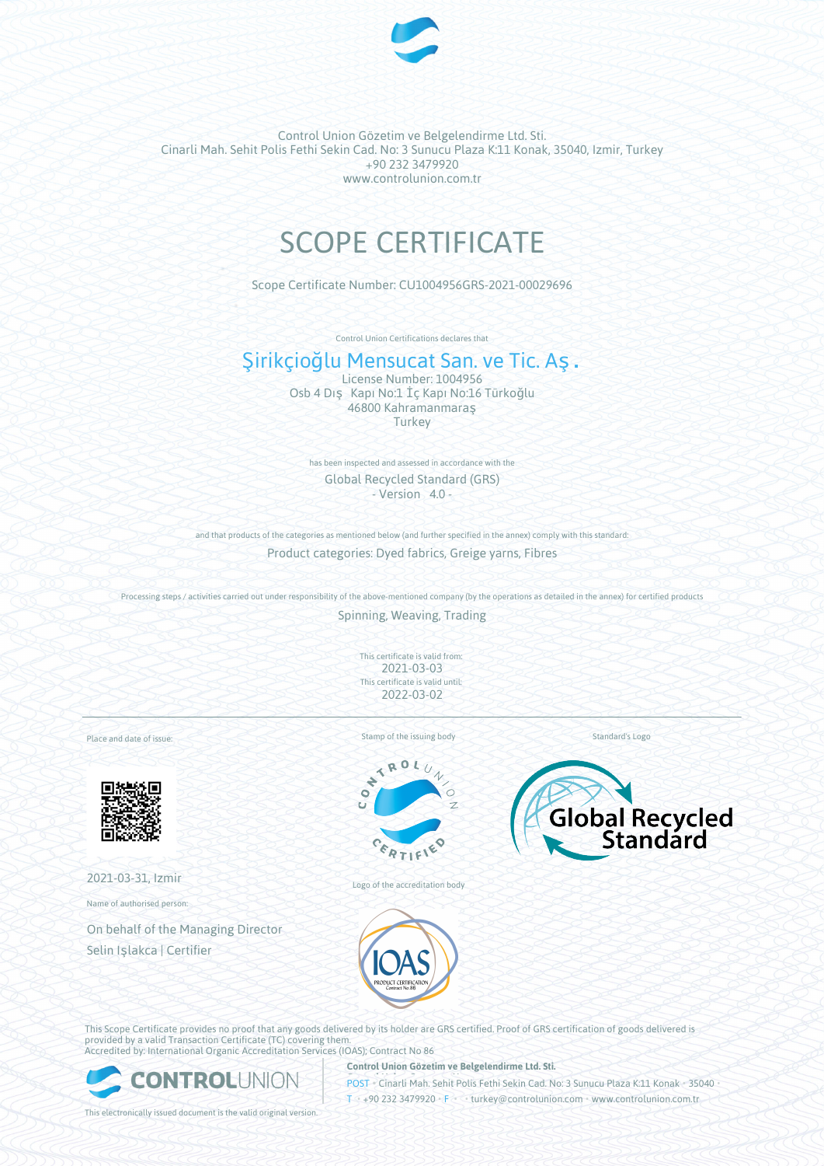

# SCOPE CERTIFICATE

Scope Certificate Number: CU1004956GRS-2021-00029696

Control Union Certifications declares that

## Şirikçioğlu Mensucat San. ve Tic. Aş.

License Number: 1004956 Osb 4 Dış Kapı No:1 İç Kapı No:16 Türkoğlu 46800 Kahramanmaraş **Turkey** 

has been inspected and assessed in accordance with the Global Recycled Standard (GRS) - Version 4.0 -

and that products of the categories as mentioned below (and further specified in the annex) comply with this standard: Product categories: Dyed fabrics, Greige yarns, Fibres

Processing steps / activities carried out under responsibility of the above-mentioned company (by the operations as detailed in the annex) for certified products

Spinning, Weaving, Trading

This certificate is valid from: 2021-03-03 This certificate is valid until: 2022-03-02

Place and date of issue:



2021-03-31, Izmir

Name of authorised person:

On behalf of the Managing Director Selin Işlakca | Certifier

Stamp of the issuing body



Logo of the accreditation body



Standard's Logo



This Scope Certificate provides no proof that any goods delivered by its holder are GRS certified. Proof of GRS certification of goods delivered is provided by a valid Transaction Certificate (TC) covering them. Accredited by: International Organic Accreditation Services (IOAS); Contract No 86



**Control Union Gözetim ve Belgelendirme Ltd. Sti.**

**POST** Cinarli Mah. Sehit Polis Fethi Sekin Cad. No: 3 Sunucu Plaza K:11 Konak • 35040 T • +90 232 3479920 • F • • turkey@controlunion.com • www.controlunion.com.tr

This electronically issued document is the valid original version.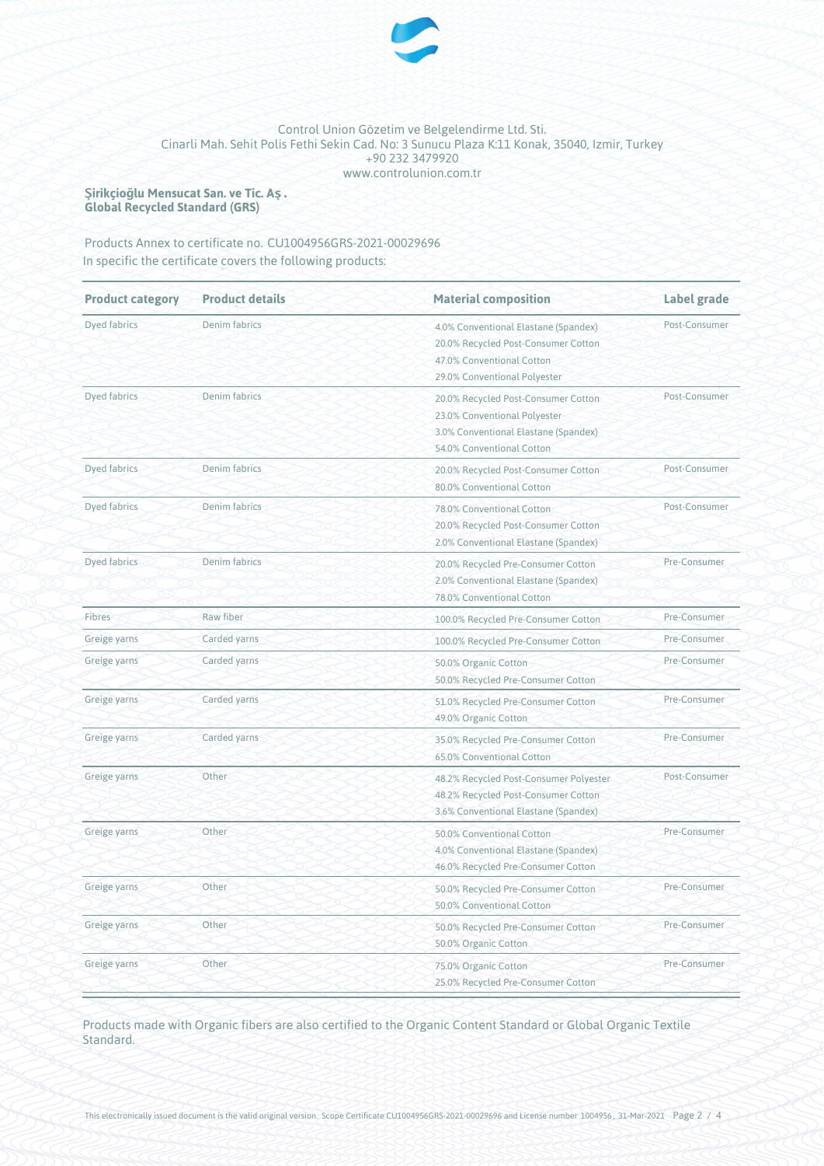

**Şirikçioğlu Mensucat San. ve Tic. Aş. Global Recycled Standard (GRS)**

Products Annex to certificate no. CU1004956GRS-2021-00029696 In specific the certificate covers the following products:

| <b>Product category</b> | <b>Product details</b> | <b>Material composition</b>                                                                                                              | <b>Label grade</b> |  |
|-------------------------|------------------------|------------------------------------------------------------------------------------------------------------------------------------------|--------------------|--|
| Dyed fabrics            | Denim fabrics          | 4.0% Conventional Elastane (Spandex)<br>20.0% Recycled Post-Consumer Cotton<br>47.0% Conventional Cotton<br>29.0% Conventional Polyester | Post-Consumer      |  |
| Dyed fabrics            | Denim fabrics          | 20.0% Recycled Post-Consumer Cotton<br>23.0% Conventional Polyester<br>3.0% Conventional Elastane (Spandex)<br>54.0% Conventional Cotton | Post-Consumer      |  |
| Dyed fabrics            | <b>Denim</b> fabrics   | 20.0% Recycled Post-Consumer Cotton<br>80.0% Conventional Cotton                                                                         | Post-Consumer      |  |
| Dyed fabrics            | Denim fabrics          | 78.0% Conventional Cotton<br>20.0% Recycled Post-Consumer Cotton<br>2.0% Conventional Elastane (Spandex)                                 | Post-Consumer      |  |
| Dyed fabrics            | Denim fabrics          | 20.0% Recycled Pre-Consumer Cotton<br>2.0% Conventional Elastane (Spandex)<br>78.0% Conventional Cotton                                  | Pre-Consumer       |  |
| Fibres                  | Raw fiber              | 100.0% Recycled Pre-Consumer Cotton                                                                                                      | Pre-Consumer       |  |
| Greige yarns            | Carded yarns           | 100.0% Recycled Pre-Consumer Cotton                                                                                                      | Pre-Consumer       |  |
| Greige yarns            | Carded yarns           | 50.0% Organic Cotton<br>50.0% Recycled Pre-Consumer Cotton                                                                               | Pre-Consumer       |  |
| Greige yarns            | Carded yarns           | 51.0% Recycled Pre-Consumer Cotton<br>49.0% Organic Cotton                                                                               | Pre-Consumer       |  |
| Greige yarns            | Carded yarns           | 35.0% Recycled Pre-Consumer Cotton<br>65.0% Conventional Cotton                                                                          | Pre-Consumer       |  |
| Greige yarns            | Other                  | 48.2% Recycled Post-Consumer Polyester<br>48.2% Recycled Post-Consumer Cotton<br>3.6% Conventional Elastane (Spandex)                    | Post-Consumer      |  |
| Greige yarns            | Other                  | 50.0% Conventional Cotton<br>4.0% Conventional Elastane (Spandex)<br>46.0% Recycled Pre-Consumer Cotton                                  | Pre-Consumer       |  |
| Greige yarns            | Other                  | 50.0% Recycled Pre-Consumer Cotton<br>50.0% Conventional Cotton                                                                          | Pre-Consumer       |  |
| Greige yarns            | Other                  | 50.0% Recycled Pre-Consumer Cotton<br>50.0% Organic Cotton                                                                               | Pre-Consumer       |  |
| Greige yarns            | Other                  | 75.0% Organic Cotton<br>25.0% Recycled Pre-Consumer Cotton                                                                               | Pre-Consumer       |  |

Products made with Organic fibers are also certified to the Organic Content Standard or Global Organic Textile Standard.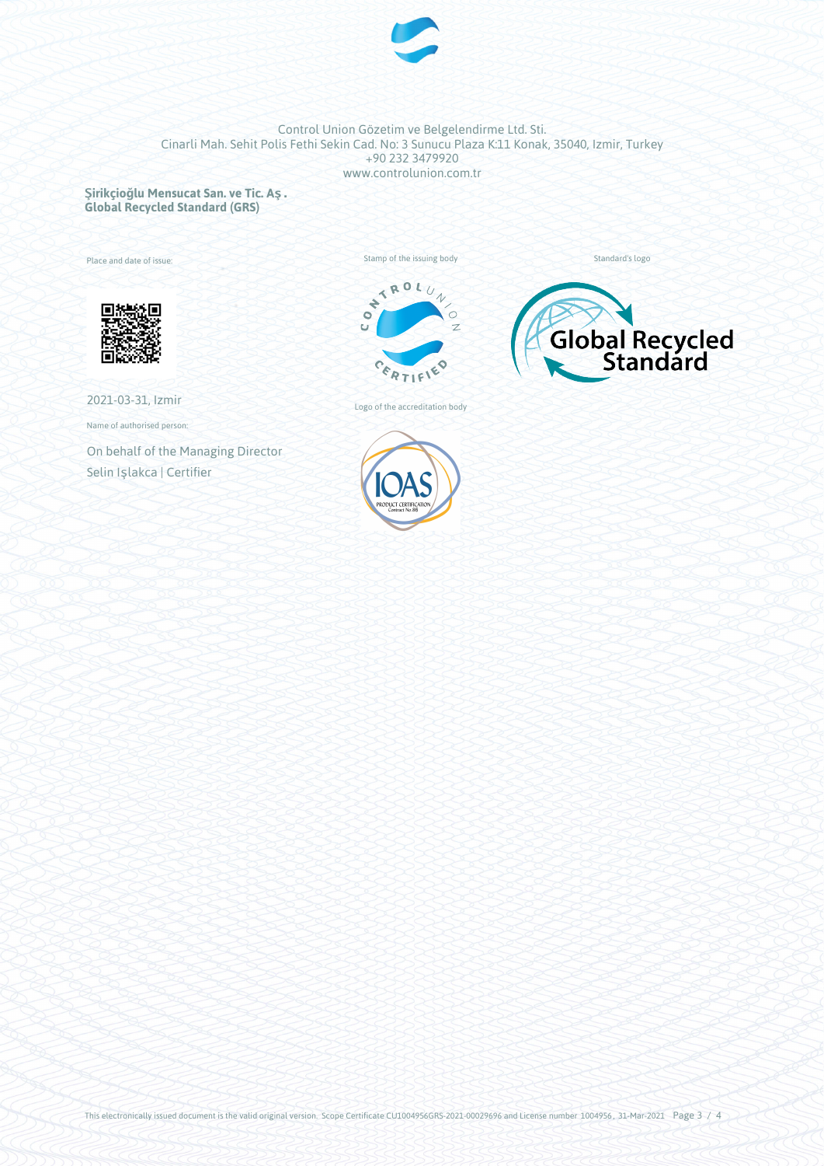

**Şirikçioğlu Mensucat San. ve Tic. Aş. Global Recycled Standard (GRS)**

Place and date of issue:



2021-03-31, Izmir

Name of authorised person:

On behalf of the Managing Director Selin Işlakca | Certifier





Standard's logo

Logo of the accreditation body